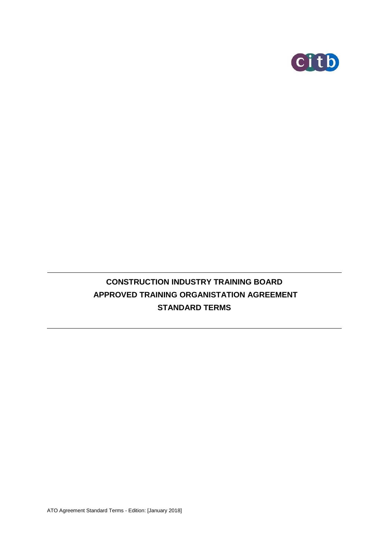

# **CONSTRUCTION INDUSTRY TRAINING BOARD APPROVED TRAINING ORGANISTATION AGREEMENT STANDARD TERMS**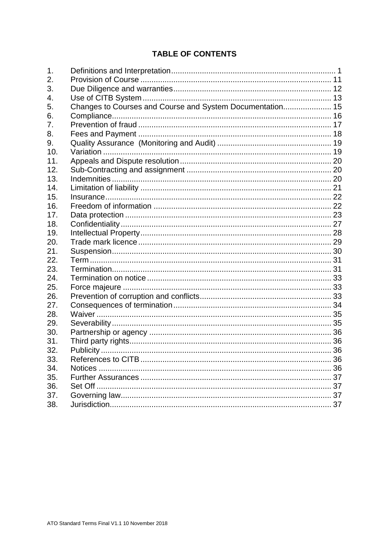## **TABLE OF CONTENTS**

| $\mathbf 1$ . |                                                           |  |
|---------------|-----------------------------------------------------------|--|
| 2.            |                                                           |  |
| 3.            |                                                           |  |
| 4.            |                                                           |  |
| 5.            | Changes to Courses and Course and System Documentation 15 |  |
| 6.            |                                                           |  |
| 7.            |                                                           |  |
| 8.            |                                                           |  |
| 9.            |                                                           |  |
| 10.           |                                                           |  |
| 11.           |                                                           |  |
| 12.           |                                                           |  |
| 13.           |                                                           |  |
| 14.           |                                                           |  |
| 15.           |                                                           |  |
| 16.           |                                                           |  |
| 17.           |                                                           |  |
| 18.           |                                                           |  |
| 19.           |                                                           |  |
| 20.           |                                                           |  |
| 21.           |                                                           |  |
| 22.           |                                                           |  |
| 23.           |                                                           |  |
| 24.           |                                                           |  |
| 25.           |                                                           |  |
| 26.           |                                                           |  |
| 27.           |                                                           |  |
| 28.           |                                                           |  |
| 29.           |                                                           |  |
| 30.           |                                                           |  |
| 31.           |                                                           |  |
| 32.           |                                                           |  |
| 33.           |                                                           |  |
| 34.           |                                                           |  |
| 35.           |                                                           |  |
| 36.           |                                                           |  |
| 37.           |                                                           |  |
| 38.           |                                                           |  |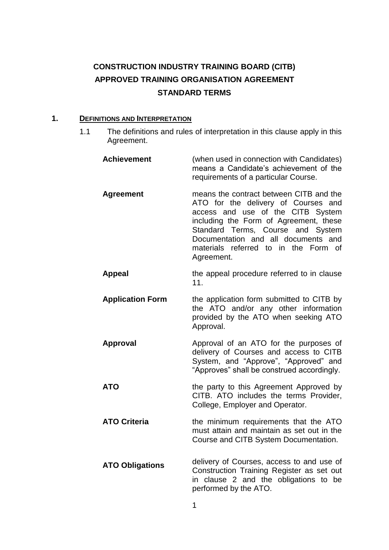## **CONSTRUCTION INDUSTRY TRAINING BOARD (CITB) APPROVED TRAINING ORGANISATION AGREEMENT STANDARD TERMS**

## <span id="page-2-0"></span>**1. DEFINITIONS AND INTERPRETATION**

1.1 The definitions and rules of interpretation in this clause apply in this Agreement.

| <b>Achievement</b>      | (when used in connection with Candidates)<br>means a Candidate's achievement of the<br>requirements of a particular Course.                                                                                                                                                                     |
|-------------------------|-------------------------------------------------------------------------------------------------------------------------------------------------------------------------------------------------------------------------------------------------------------------------------------------------|
| <b>Agreement</b>        | means the contract between CITB and the<br>ATO for the delivery of Courses and<br>access and use of the CITB System<br>including the Form of Agreement, these<br>Standard Terms, Course and System<br>Documentation and all documents and<br>materials referred to in the Form of<br>Agreement. |
| <b>Appeal</b>           | the appeal procedure referred to in clause<br>11.                                                                                                                                                                                                                                               |
| <b>Application Form</b> | the application form submitted to CITB by<br>the ATO and/or any other information<br>provided by the ATO when seeking ATO<br>Approval.                                                                                                                                                          |
| <b>Approval</b>         | Approval of an ATO for the purposes of<br>delivery of Courses and access to CITB<br>System, and "Approve", "Approved" and<br>"Approves" shall be construed accordingly.                                                                                                                         |
| <b>ATO</b>              | the party to this Agreement Approved by<br>CITB. ATO includes the terms Provider,<br>College, Employer and Operator.                                                                                                                                                                            |
| <b>ATO Criteria</b>     | the minimum requirements that the ATO<br>must attain and maintain as set out in the<br>Course and CITB System Documentation.                                                                                                                                                                    |
| <b>ATO Obligations</b>  | delivery of Courses, access to and use of<br>Construction Training Register as set out<br>in clause 2 and the obligations to be<br>performed by the ATO.                                                                                                                                        |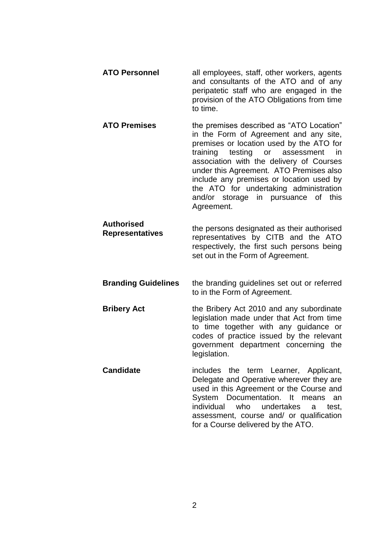| <b>ATO Personnel</b> | all employees, staff, other workers, agents<br>and consultants of the ATO and of any<br>peripatetic staff who are engaged in the<br>provision of the ATO Obligations from time |
|----------------------|--------------------------------------------------------------------------------------------------------------------------------------------------------------------------------|
|                      | to time.                                                                                                                                                                       |

**ATO Premises** the premises described as "ATO Location" in the Form of Agreement and any site, premises or location used by the ATO for training testing or assessment in association with the delivery of Courses under this Agreement. ATO Premises also include any premises or location used by the ATO for undertaking administration and/or storage in pursuance of this Agreement.

**Authorised Representatives** the persons designated as their authorised representatives by CITB and the ATO respectively, the first such persons being set out in the Form of Agreement.

- **Branding Guidelines** the branding guidelines set out or referred to in the Form of Agreement.
- **Bribery Act** the Bribery Act 2010 and any subordinate legislation made under that Act from time to time together with any guidance or codes of practice issued by the relevant government department concerning the legislation.
- **Candidate** includes the term Learner, Applicant, Delegate and Operative wherever they are used in this Agreement or the Course and System Documentation. It means an individual who undertakes a test, assessment, course and/ or qualification for a Course delivered by the ATO.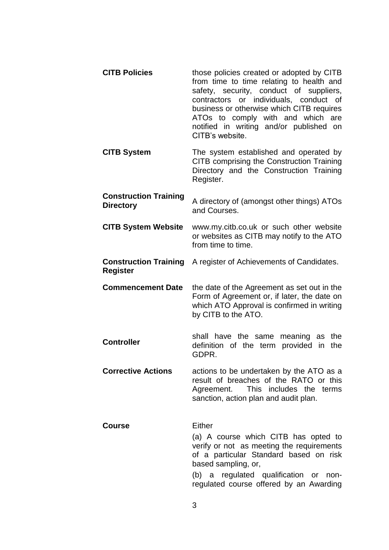| <b>CITB Policies</b>                             | those policies created or adopted by CITB<br>from time to time relating to health and<br>safety, security, conduct of suppliers,<br>contractors or individuals, conduct of<br>business or otherwise which CITB requires<br>ATOs to comply with and which are<br>notified in writing and/or published on<br>CITB's website. |
|--------------------------------------------------|----------------------------------------------------------------------------------------------------------------------------------------------------------------------------------------------------------------------------------------------------------------------------------------------------------------------------|
| <b>CITB System</b>                               | The system established and operated by<br>CITB comprising the Construction Training<br>Directory and the Construction Training<br>Register.                                                                                                                                                                                |
| <b>Construction Training</b><br><b>Directory</b> | A directory of (amongst other things) ATOs<br>and Courses.                                                                                                                                                                                                                                                                 |
| <b>CITB System Website</b>                       | www.my.citb.co.uk or such other website<br>or websites as CITB may notify to the ATO<br>from time to time.                                                                                                                                                                                                                 |
| <b>Construction Training</b><br><b>Register</b>  | A register of Achievements of Candidates.                                                                                                                                                                                                                                                                                  |
| <b>Commencement Date</b>                         | the date of the Agreement as set out in the<br>Form of Agreement or, if later, the date on<br>which ATO Approval is confirmed in writing<br>by CITB to the ATO.                                                                                                                                                            |
| <b>Controller</b>                                | shall have the same meaning as the<br>definition of the term provided in<br>the<br>GDPR.                                                                                                                                                                                                                                   |
| <b>Corrective Actions</b>                        |                                                                                                                                                                                                                                                                                                                            |
|                                                  | actions to be undertaken by the ATO as a<br>result of breaches of the RATO or this<br>Agreement. This includes the terms<br>sanction, action plan and audit plan.                                                                                                                                                          |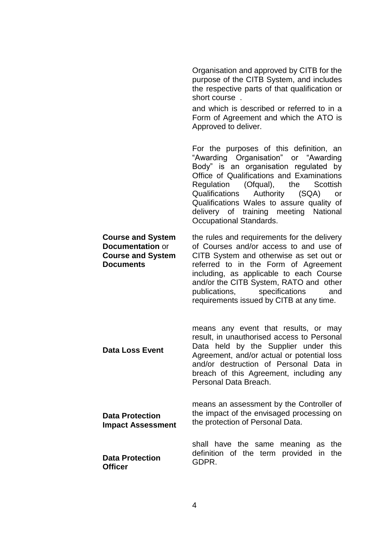|                                                                                                     | Organisation and approved by CITB for the<br>purpose of the CITB System, and includes<br>the respective parts of that qualification or<br>short course.<br>and which is described or referred to in a<br>Form of Agreement and which the ATO is<br>Approved to deliver.                                                                                                       |
|-----------------------------------------------------------------------------------------------------|-------------------------------------------------------------------------------------------------------------------------------------------------------------------------------------------------------------------------------------------------------------------------------------------------------------------------------------------------------------------------------|
|                                                                                                     | For the purposes of this definition, an<br>"Awarding Organisation" or "Awarding<br>Body" is an organisation regulated by<br>Office of Qualifications and Examinations<br>Regulation (Ofqual), the<br>Scottish<br>Qualifications Authority (SQA)<br>or<br>Qualifications Wales to assure quality of<br>delivery of training meeting National<br><b>Occupational Standards.</b> |
| <b>Course and System</b><br><b>Documentation or</b><br><b>Course and System</b><br><b>Documents</b> | the rules and requirements for the delivery<br>of Courses and/or access to and use of<br>CITB System and otherwise as set out or<br>referred to in the Form of Agreement<br>including, as applicable to each Course<br>and/or the CITB System, RATO and other<br>publications, specifications<br>and<br>requirements issued by CITB at any time.                              |
| <b>Data Loss Event</b>                                                                              | means any event that results, or may<br>result, in unauthorised access to Personal<br>Data held by the Supplier under this<br>Agreement, and/or actual or potential loss<br>and/or destruction of Personal Data in<br>breach of this Agreement, including any<br>Personal Data Breach.                                                                                        |
| <b>Data Protection</b><br><b>Impact Assessment</b>                                                  | means an assessment by the Controller of<br>the impact of the envisaged processing on<br>the protection of Personal Data.                                                                                                                                                                                                                                                     |
| <b>Data Protection</b><br><b>Officer</b>                                                            | have the same meaning as<br>shall<br>the<br>definition of the term provided in<br>the<br>GDPR.                                                                                                                                                                                                                                                                                |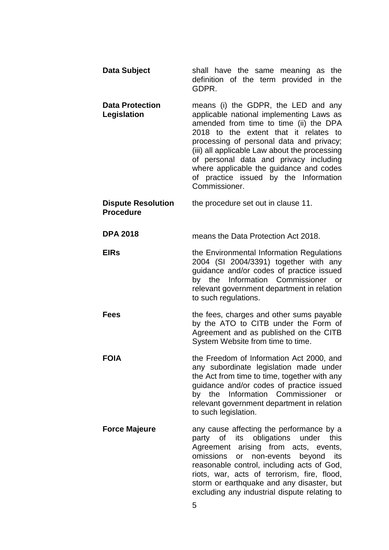| Data Subject                                  | shall have the same meaning as the<br>definition of the term provided in the<br>GDPR.                                                                                                                                                                                                                                                                                                                          |
|-----------------------------------------------|----------------------------------------------------------------------------------------------------------------------------------------------------------------------------------------------------------------------------------------------------------------------------------------------------------------------------------------------------------------------------------------------------------------|
| <b>Data Protection</b><br>Legislation         | means (i) the GDPR, the LED and any<br>applicable national implementing Laws as<br>amended from time to time (ii) the DPA<br>2018 to the extent that it relates to<br>processing of personal data and privacy;<br>(iii) all applicable Law about the processing<br>of personal data and privacy including<br>where applicable the guidance and codes<br>of practice issued by the Information<br>Commissioner. |
| <b>Dispute Resolution</b><br><b>Procedure</b> | the procedure set out in clause 11.                                                                                                                                                                                                                                                                                                                                                                            |
| <b>DPA 2018</b>                               | means the Data Protection Act 2018.                                                                                                                                                                                                                                                                                                                                                                            |
| <b>EIRs</b>                                   | the Environmental Information Regulations<br>2004 (SI 2004/3391) together with any<br>guidance and/or codes of practice issued<br>by the Information Commissioner or<br>relevant government department in relation<br>to such regulations.                                                                                                                                                                     |
| <b>Fees</b>                                   | the fees, charges and other sums payable<br>by the ATO to CITB under the Form of<br>Agreement and as published on the CITB<br>System Website from time to time.                                                                                                                                                                                                                                                |
| <b>FOIA</b>                                   | the Freedom of Information Act 2000, and<br>any subordinate legislation made under<br>the Act from time to time, together with any<br>guidance and/or codes of practice issued<br>by the Information Commissioner<br>or<br>relevant government department in relation<br>to such legislation.                                                                                                                  |
| <b>Force Majeure</b>                          | any cause affecting the performance by a<br>party of its obligations under<br>this<br>Agreement arising from acts, events,<br>omissions<br>or non-events<br>beyond<br>its<br>reasonable control, including acts of God,<br>riots, war, acts of terrorism, fire, flood,<br>storm or earthquake and any disaster, but<br>excluding any industrial dispute relating to<br>5                                       |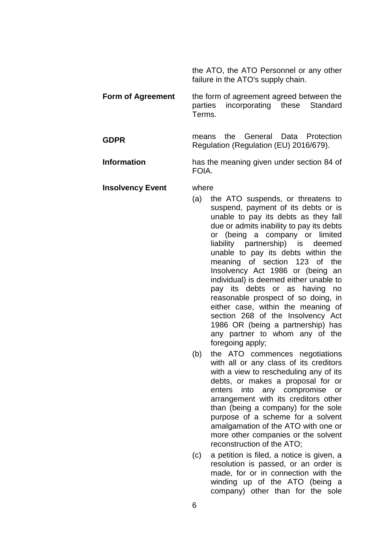the ATO, the ATO Personnel or any other failure in the ATO's supply chain.

- **Form of Agreement** the form of agreement agreed between the parties incorporating these Standard Terms.
- **GDPR** means the General Data Protection Regulation (Regulation (EU) 2016/679).

**Information** has the meaning given under section 84 of FOIA.

#### **Insolvency Event** where

- (a) the ATO suspends, or threatens to suspend, payment of its debts or is unable to pay its debts as they fall due or admits inability to pay its debts or (being a company or limited liability partnership) is deemed unable to pay its debts within the meaning of section 123 of the Insolvency Act 1986 or (being an individual) is deemed either unable to pay its debts or as having no reasonable prospect of so doing, in either case, within the meaning of section 268 of the Insolvency Act 1986 OR (being a partnership) has any partner to whom any of the foregoing apply;
- (b) the ATO commences negotiations with all or any class of its creditors with a view to rescheduling any of its debts, or makes a proposal for or enters into any compromise or arrangement with its creditors other than (being a company) for the sole purpose of a scheme for a solvent amalgamation of the ATO with one or more other companies or the solvent reconstruction of the ATO;
- (c) a petition is filed, a notice is given, a resolution is passed, or an order is made, for or in connection with the winding up of the ATO (being a company) other than for the sole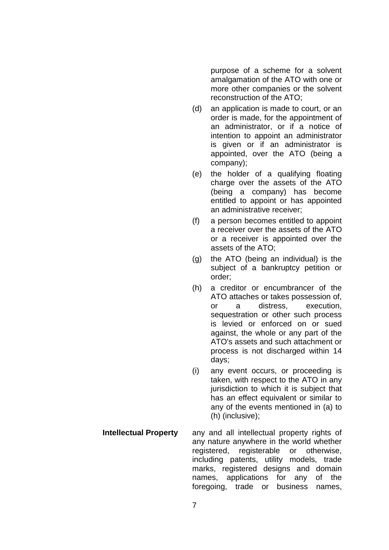purpose of a scheme for a solvent amalgamation of the ATO with one or more other companies or the solvent reconstruction of the ATO;

- (d) an application is made to court, or an order is made, for the appointment of an administrator, or if a notice of intention to appoint an administrator is given or if an administrator is appointed, over the ATO (being a company);
- (e) the holder of a qualifying floating charge over the assets of the ATO (being a company) has become entitled to appoint or has appointed an administrative receiver;
- (f) a person becomes entitled to appoint a receiver over the assets of the ATO or a receiver is appointed over the assets of the ATO;
- (g) the ATO (being an individual) is the subject of a bankruptcy petition or order;
- (h) a creditor or encumbrancer of the ATO attaches or takes possession of, or a distress, execution, sequestration or other such process is levied or enforced on or sued against, the whole or any part of the ATO's assets and such attachment or process is not discharged within 14 days;
- (i) any event occurs, or proceeding is taken, with respect to the ATO in any jurisdiction to which it is subject that has an effect equivalent or similar to any of the events mentioned in (a) to (h) (inclusive);
- **Intellectual Property** any and all intellectual property rights of any nature anywhere in the world whether registered, registerable or otherwise, including patents, utility models, trade marks, registered designs and domain names, applications for any of the foregoing, trade or business names,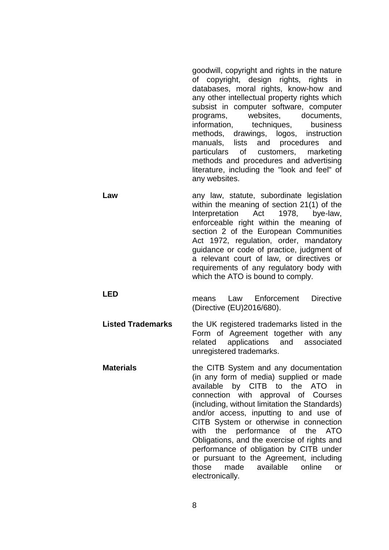goodwill, copyright and rights in the nature of copyright, design rights, rights in databases, moral rights, know-how and any other intellectual property rights which subsist in computer software, computer programs, websites, documents, information, techniques, business methods, drawings, logos, instruction manuals, lists and procedures and particulars of customers, marketing methods and procedures and advertising literature, including the "look and feel" of any websites.

**Law** any law, statute, subordinate legislation within the meaning of section 21(1) of the Interpretation Act 1978, bye-law, enforceable right within the meaning of section 2 of the European Communities Act 1972, regulation, order, mandatory guidance or code of practice, judgment of a relevant court of law, or directives or requirements of any regulatory body with which the ATO is bound to comply.

**LED**

- means Law Enforcement Directive (Directive (EU)2016/680).
- **Listed Trademarks** the UK registered trademarks listed in the Form of Agreement together with any related applications and associated unregistered trademarks.
- **Materials** the CITB System and any documentation (in any form of media) supplied or made available by CITB to the ATO in connection with approval of Courses (including, without limitation the Standards) and/or access, inputting to and use of CITB System or otherwise in connection with the performance of the ATO Obligations, and the exercise of rights and performance of obligation by CITB under or pursuant to the Agreement, including those made available online or electronically.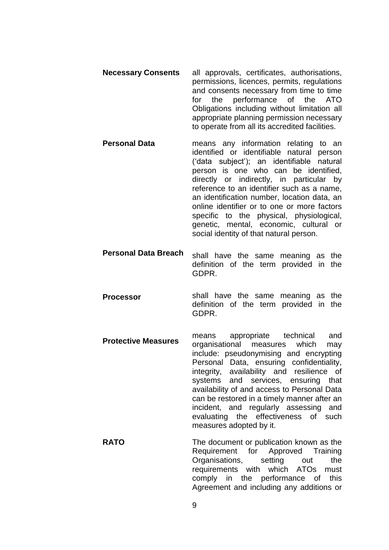- **Necessary Consents** all approvals, certificates, authorisations, permissions, licences, permits, regulations and consents necessary from time to time for the performance of the ATO Obligations including without limitation all appropriate planning permission necessary to operate from all its accredited facilities.
- **Personal Data** means any information relating to an identified or identifiable natural person ('data subject'); an identifiable natural person is one who can be identified, directly or indirectly, in particular by reference to an identifier such as a name, an identification number, location data, an online identifier or to one or more factors specific to the physical, physiological, genetic, mental, economic, cultural or social identity of that natural person.
- **Personal Data Breach** shall have the same meaning as the definition of the term provided in the GDPR.
- **Processor** shall have the same meaning as the definition of the term provided in the GDPR.
- **Protective Measures** means appropriate technical and organisational measures which may include: pseudonymising and encrypting Personal Data, ensuring confidentiality, integrity, availability and resilience of systems and services, ensuring that availability of and access to Personal Data can be restored in a timely manner after an incident, and regularly assessing and evaluating the effectiveness of such measures adopted by it.
- **RATO** The document or publication known as the Requirement for Approved Training Organisations, setting out the requirements with which ATOs must comply in the performance of this Agreement and including any additions or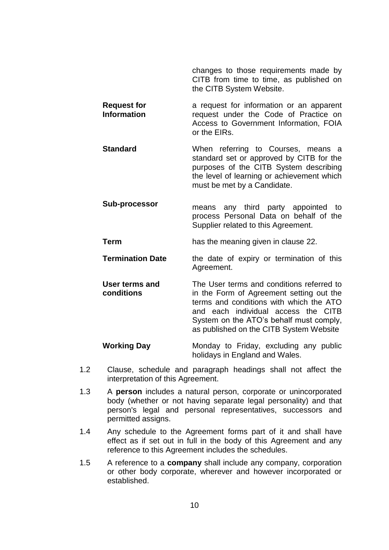changes to those requirements made by CITB from time to time, as published on the CITB System Website.

**Request for Information** a request for information or an apparent request under the Code of Practice on Access to Government Information, FOIA or the EIRs.

**Standard** When referring to Courses, means a standard set or approved by CITB for the purposes of the CITB System describing the level of learning or achievement which must be met by a Candidate.

**Sub-processor** means any third party appointed to process Personal Data on behalf of the Supplier related to this Agreement.

**Term** has the meaning given in clause [22.](#page-32-0)

- **Termination Date** the date of expiry or termination of this Agreement.
- **User terms and conditions** The User terms and conditions referred to in the Form of Agreement setting out the terms and conditions with which the ATO and each individual access the CITB System on the ATO's behalf must comply, as published on the CITB System Website

**Working Day** Monday to Friday, excluding any public holidays in England and Wales.

- 1.2 Clause, schedule and paragraph headings shall not affect the interpretation of this Agreement.
- 1.3 A **person** includes a natural person, corporate or unincorporated body (whether or not having separate legal personality) and that person's legal and personal representatives, successors and permitted assigns.
- 1.4 Any schedule to the Agreement forms part of it and shall have effect as if set out in full in the body of this Agreement and any reference to this Agreement includes the schedules.
- 1.5 A reference to a **company** shall include any company, corporation or other body corporate, wherever and however incorporated or established.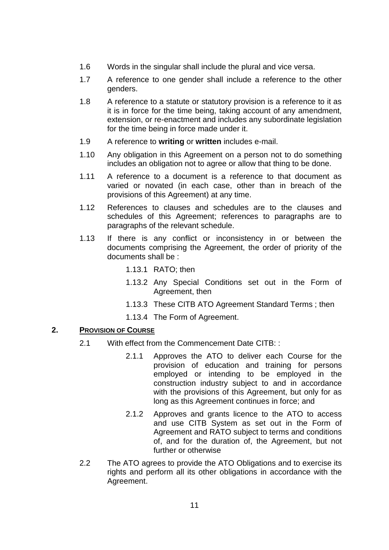- 1.6 Words in the singular shall include the plural and vice versa.
- 1.7 A reference to one gender shall include a reference to the other genders.
- 1.8 A reference to a statute or statutory provision is a reference to it as it is in force for the time being, taking account of any amendment, extension, or re-enactment and includes any subordinate legislation for the time being in force made under it.
- 1.9 A reference to **writing** or **written** includes e-mail.
- 1.10 Any obligation in this Agreement on a person not to do something includes an obligation not to agree or allow that thing to be done.
- 1.11 A reference to a document is a reference to that document as varied or novated (in each case, other than in breach of the provisions of this Agreement) at any time.
- 1.12 References to clauses and schedules are to the clauses and schedules of this Agreement; references to paragraphs are to paragraphs of the relevant schedule.
- 1.13 If there is any conflict or inconsistency in or between the documents comprising the Agreement, the order of priority of the documents shall be :
	- 1.13.1 RATO; then
	- 1.13.2 Any Special Conditions set out in the Form of Agreement, then
	- 1.13.3 These CITB ATO Agreement Standard Terms ; then
	- 1.13.4 The Form of Agreement.

#### <span id="page-12-0"></span>**2. PROVISION OF COURSE**

- 2.1 With effect from the Commencement Date CITB: :
	- 2.1.1 Approves the ATO to deliver each Course for the provision of education and training for persons employed or intending to be employed in the construction industry subject to and in accordance with the provisions of this Agreement, but only for as long as this Agreement continues in force; and
	- 2.1.2 Approves and grants licence to the ATO to access and use CITB System as set out in the Form of Agreement and RATO subject to terms and conditions of, and for the duration of, the Agreement, but not further or otherwise
- 2.2 The ATO agrees to provide the ATO Obligations and to exercise its rights and perform all its other obligations in accordance with the Agreement.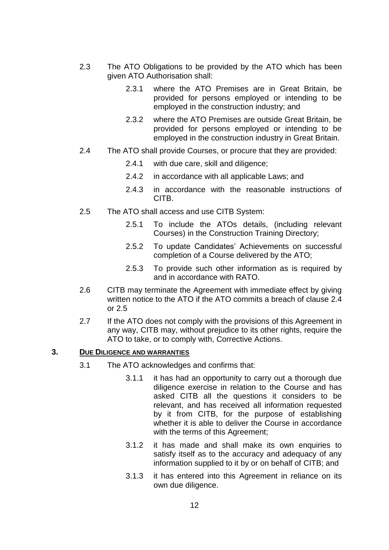- 2.3 The ATO Obligations to be provided by the ATO which has been given ATO Authorisation shall:
	- 2.3.1 where the ATO Premises are in Great Britain, be provided for persons employed or intending to be employed in the construction industry; and
	- 2.3.2 where the ATO Premises are outside Great Britain, be provided for persons employed or intending to be employed in the construction industry in Great Britain.
- <span id="page-13-1"></span>2.4 The ATO shall provide Courses, or procure that they are provided:
	- 2.4.1 with due care, skill and diligence;
	- 2.4.2 in accordance with all applicable Laws; and
	- 2.4.3 in accordance with the reasonable instructions of CITB.
- <span id="page-13-2"></span>2.5 The ATO shall access and use CITB System:
	- 2.5.1 To include the ATOs details, (including relevant Courses) in the Construction Training Directory;
	- 2.5.2 To update Candidates' Achievements on successful completion of a Course delivered by the ATO;
	- 2.5.3 To provide such other information as is required by and in accordance with RATO.
- 2.6 CITB may terminate the Agreement with immediate effect by giving written notice to the ATO if the ATO commits a breach of clause [2.4](#page-13-1) or [2.5](#page-13-2)
- 2.7 If the ATO does not comply with the provisions of this Agreement in any way, CITB may, without prejudice to its other rights, require the ATO to take, or to comply with, Corrective Actions.

## <span id="page-13-0"></span>**3. DUE DILIGENCE AND WARRANTIES**

- 3.1 The ATO acknowledges and confirms that:
	- 3.1.1 it has had an opportunity to carry out a thorough due diligence exercise in relation to the Course and has asked CITB all the questions it considers to be relevant, and has received all information requested by it from CITB, for the purpose of establishing whether it is able to deliver the Course in accordance with the terms of this Agreement;
	- 3.1.2 it has made and shall make its own enquiries to satisfy itself as to the accuracy and adequacy of any information supplied to it by or on behalf of CITB; and
	- 3.1.3 it has entered into this Agreement in reliance on its own due diligence.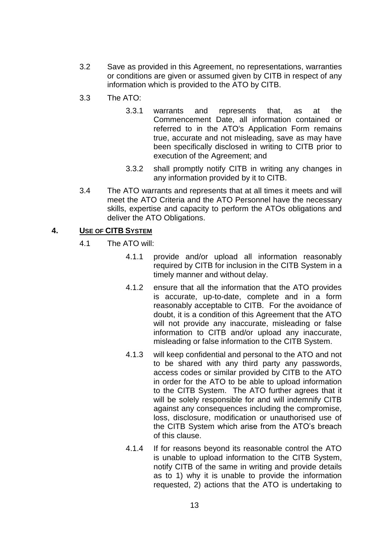- 3.2 Save as provided in this Agreement, no representations, warranties or conditions are given or assumed given by CITB in respect of any information which is provided to the ATO by CITB.
- 3.3 The ATO:
	- 3.3.1 warrants and represents that, as at the Commencement Date, all information contained or referred to in the ATO's Application Form remains true, accurate and not misleading, save as may have been specifically disclosed in writing to CITB prior to execution of the Agreement; and
	- 3.3.2 shall promptly notify CITB in writing any changes in any information provided by it to CITB.
- 3.4 The ATO warrants and represents that at all times it meets and will meet the ATO Criteria and the ATO Personnel have the necessary skills, expertise and capacity to perform the ATOs obligations and deliver the ATO Obligations.

#### <span id="page-14-0"></span>**4. USE OF CITB SYSTEM**

- 4.1 The ATO will:
	- 4.1.1 provide and/or upload all information reasonably required by CITB for inclusion in the CITB System in a timely manner and without delay.
	- 4.1.2 ensure that all the information that the ATO provides is accurate, up-to-date, complete and in a form reasonably acceptable to CITB. For the avoidance of doubt, it is a condition of this Agreement that the ATO will not provide any inaccurate, misleading or false information to CITB and/or upload any inaccurate, misleading or false information to the CITB System.
	- 4.1.3 will keep confidential and personal to the ATO and not to be shared with any third party any passwords, access codes or similar provided by CITB to the ATO in order for the ATO to be able to upload information to the CITB System. The ATO further agrees that it will be solely responsible for and will indemnify CITB against any consequences including the compromise, loss, disclosure, modification or unauthorised use of the CITB System which arise from the ATO's breach of this clause.
	- 4.1.4 If for reasons beyond its reasonable control the ATO is unable to upload information to the CITB System, notify CITB of the same in writing and provide details as to 1) why it is unable to provide the information requested, 2) actions that the ATO is undertaking to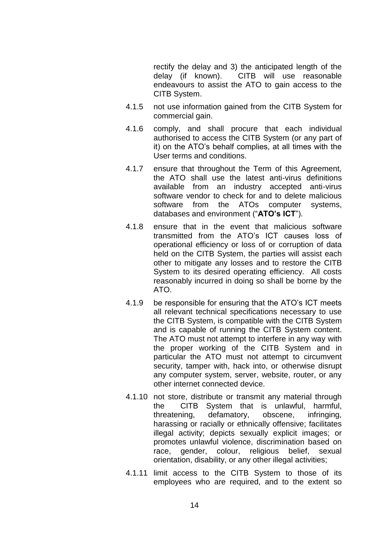rectify the delay and 3) the anticipated length of the delay (if known). CITB will use reasonable CITB will use reasonable endeavours to assist the ATO to gain access to the CITB System.

- 4.1.5 not use information gained from the CITB System for commercial gain.
- 4.1.6 comply, and shall procure that each individual authorised to access the CITB System (or any part of it) on the ATO's behalf complies, at all times with the User terms and conditions.
- 4.1.7 ensure that throughout the Term of this Agreement, the ATO shall use the latest anti-virus definitions available from an industry accepted anti-virus software vendor to check for and to delete malicious software from the ATOs computer systems, databases and environment ("**ATO's ICT**").
- 4.1.8 ensure that in the event that malicious software transmitted from the ATO's ICT causes loss of operational efficiency or loss of or corruption of data held on the CITB System, the parties will assist each other to mitigate any losses and to restore the CITB System to its desired operating efficiency. All costs reasonably incurred in doing so shall be borne by the ATO.
- 4.1.9 be responsible for ensuring that the ATO's ICT meets all relevant technical specifications necessary to use the CITB System, is compatible with the CITB System and is capable of running the CITB System content. The ATO must not attempt to interfere in any way with the proper working of the CITB System and in particular the ATO must not attempt to circumvent security, tamper with, hack into, or otherwise disrupt any computer system, server, website, router, or any other internet connected device.
- 4.1.10 not store, distribute or transmit any material through the CITB System that is unlawful, harmful, threatening, defamatory, obscene, infringing, harassing or racially or ethnically offensive; facilitates illegal activity; depicts sexually explicit images; or promotes unlawful violence, discrimination based on race, gender, colour, religious belief, sexual orientation, disability, or any other illegal activities;
- 4.1.11 limit access to the CITB System to those of its employees who are required, and to the extent so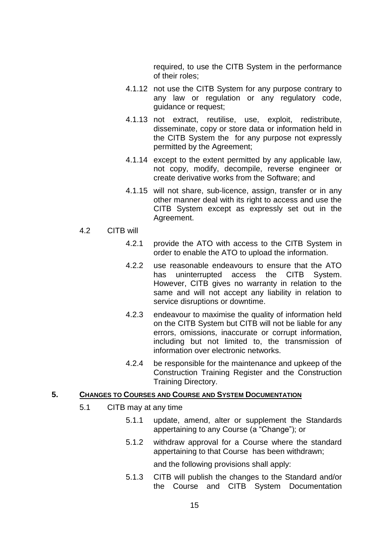required, to use the CITB System in the performance of their roles;

- 4.1.12 not use the CITB System for any purpose contrary to any law or regulation or any regulatory code, guidance or request;
- 4.1.13 not extract, reutilise, use, exploit, redistribute, disseminate, copy or store data or information held in the CITB System the for any purpose not expressly permitted by the Agreement;
- 4.1.14 except to the extent permitted by any applicable law, not copy, modify, decompile, reverse engineer or create derivative works from the Software; and
- 4.1.15 will not share, sub-licence, assign, transfer or in any other manner deal with its right to access and use the CITB System except as expressly set out in the Agreement.

#### 4.2 CITB will

- 4.2.1 provide the ATO with access to the CITB System in order to enable the ATO to upload the information.
- 4.2.2 use reasonable endeavours to ensure that the ATO has uninterrupted access the CITB System. However, CITB gives no warranty in relation to the same and will not accept any liability in relation to service disruptions or downtime.
- 4.2.3 endeavour to maximise the quality of information held on the CITB System but CITB will not be liable for any errors, omissions, inaccurate or corrupt information, including but not limited to, the transmission of information over electronic networks.
- 4.2.4 be responsible for the maintenance and upkeep of the Construction Training Register and the Construction Training Directory.

#### <span id="page-16-0"></span>**5. CHANGES TO COURSES AND COURSE AND SYSTEM DOCUMENTATION**

- 5.1 CITB may at any time
	- 5.1.1 update, amend, alter or supplement the Standards appertaining to any Course (a "Change"); or
	- 5.1.2 withdraw approval for a Course where the standard appertaining to that Course has been withdrawn;

and the following provisions shall apply:

5.1.3 CITB will publish the changes to the Standard and/or the Course and CITB System Documentation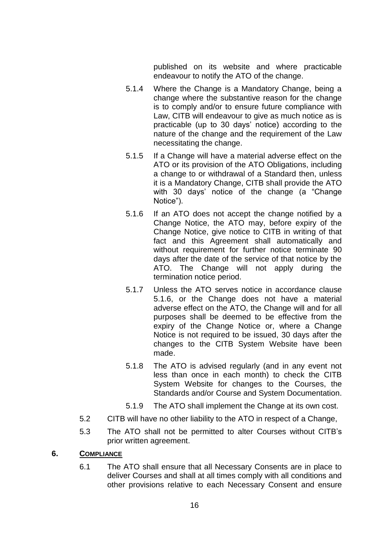published on its website and where practicable endeavour to notify the ATO of the change.

- 5.1.4 Where the Change is a Mandatory Change, being a change where the substantive reason for the change is to comply and/or to ensure future compliance with Law, CITB will endeavour to give as much notice as is practicable (up to 30 days' notice) according to the nature of the change and the requirement of the Law necessitating the change.
- 5.1.5 If a Change will have a material adverse effect on the ATO or its provision of the ATO Obligations, including a change to or withdrawal of a Standard then, unless it is a Mandatory Change, CITB shall provide the ATO with 30 days' notice of the change (a "Change Notice").
- <span id="page-17-1"></span>5.1.6 If an ATO does not accept the change notified by a Change Notice, the ATO may, before expiry of the Change Notice, give notice to CITB in writing of that fact and this Agreement shall automatically and without requirement for further notice terminate 90 days after the date of the service of that notice by the ATO. The Change will not apply during the termination notice period.
- 5.1.7 Unless the ATO serves notice in accordance clause [5.1.6,](#page-17-1) or the Change does not have a material adverse effect on the ATO, the Change will and for all purposes shall be deemed to be effective from the expiry of the Change Notice or, where a Change Notice is not required to be issued, 30 days after the changes to the CITB System Website have been made.
- 5.1.8 The ATO is advised regularly (and in any event not less than once in each month) to check the CITB System Website for changes to the Courses, the Standards and/or Course and System Documentation.
- 5.1.9 The ATO shall implement the Change at its own cost.
- 5.2 CITB will have no other liability to the ATO in respect of a Change,
- 5.3 The ATO shall not be permitted to alter Courses without CITB's prior written agreement.
- <span id="page-17-0"></span>**6. COMPLIANCE**
	- 6.1 The ATO shall ensure that all Necessary Consents are in place to deliver Courses and shall at all times comply with all conditions and other provisions relative to each Necessary Consent and ensure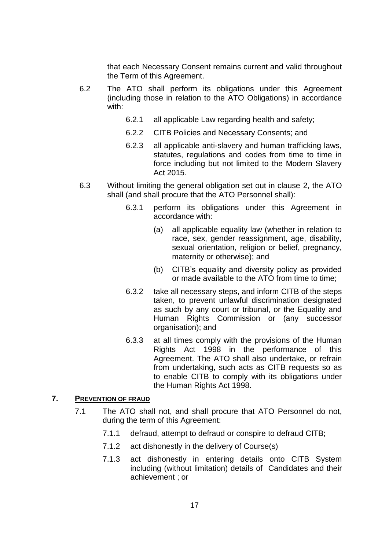that each Necessary Consent remains current and valid throughout the Term of this Agreement.

- 6.2 The ATO shall perform its obligations under this Agreement (including those in relation to the ATO Obligations) in accordance with:
	- 6.2.1 all applicable Law regarding health and safety;
	- 6.2.2 CITB Policies and Necessary Consents; and
	- 6.2.3 all applicable anti-slavery and human trafficking laws, statutes, regulations and codes from time to time in force including but not limited to the Modern Slavery Act 2015.
- 6.3 Without limiting the general obligation set out in clause 2, the ATO shall (and shall procure that the ATO Personnel shall):
	- 6.3.1 perform its obligations under this Agreement in accordance with:
		- (a) all applicable equality law (whether in relation to race, sex, gender reassignment, age, disability, sexual orientation, religion or belief, pregnancy, maternity or otherwise); and
		- (b) CITB's equality and diversity policy as provided or made available to the ATO from time to time;
	- 6.3.2 take all necessary steps, and inform CITB of the steps taken, to prevent unlawful discrimination designated as such by any court or tribunal, or the Equality and Human Rights Commission or (any successor organisation); and
	- 6.3.3 at all times comply with the provisions of the Human Rights Act 1998 in the performance of this Agreement. The ATO shall also undertake, or refrain from undertaking, such acts as CITB requests so as to enable CITB to comply with its obligations under the Human Rights Act 1998.

## <span id="page-18-0"></span>**7. PREVENTION OF FRAUD**

- 7.1 The ATO shall not, and shall procure that ATO Personnel do not, during the term of this Agreement:
	- 7.1.1 defraud, attempt to defraud or conspire to defraud CITB;
	- 7.1.2 act dishonestly in the delivery of Course(s)
	- 7.1.3 act dishonestly in entering details onto CITB System including (without limitation) details of Candidates and their achievement ; or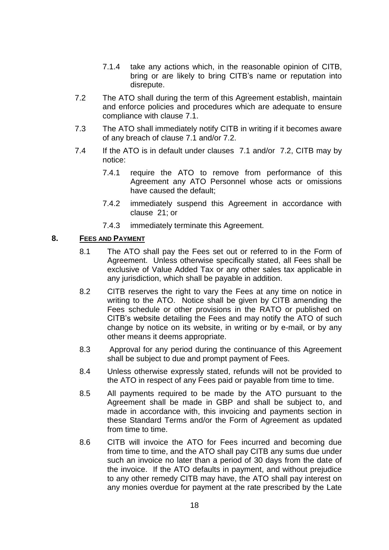- 7.1.4 take any actions which, in the reasonable opinion of CITB, bring or are likely to bring CITB's name or reputation into disrepute.
- 7.2 The ATO shall during the term of this Agreement establish, maintain and enforce policies and procedures which are adequate to ensure compliance with clause 7.1.
- 7.3 The ATO shall immediately notify CITB in writing if it becomes aware of any breach of clause 7.1 and/or 7.2.
- 7.4 If the ATO is in default under clauses 7.1 and/or 7.2, CITB may by notice:
	- 7.4.1 require the ATO to remove from performance of this Agreement any ATO Personnel whose acts or omissions have caused the default;
	- 7.4.2 immediately suspend this Agreement in accordance with clause 21; or
	- 7.4.3 immediately terminate this Agreement.

#### <span id="page-19-0"></span>**8. FEES AND PAYMENT**

- 8.1 The ATO shall pay the Fees set out or referred to in the Form of Agreement. Unless otherwise specifically stated, all Fees shall be exclusive of Value Added Tax or any other sales tax applicable in any jurisdiction, which shall be payable in addition.
- 8.2 CITB reserves the right to vary the Fees at any time on notice in writing to the ATO. Notice shall be given by CITB amending the Fees schedule or other provisions in the RATO or published on CITB's website detailing the Fees and may notify the ATO of such change by notice on its website, in writing or by e-mail, or by any other means it deems appropriate.
- 8.3 Approval for any period during the continuance of this Agreement shall be subject to due and prompt payment of Fees.
- 8.4 Unless otherwise expressly stated, refunds will not be provided to the ATO in respect of any Fees paid or payable from time to time.
- 8.5 All payments required to be made by the ATO pursuant to the Agreement shall be made in GBP and shall be subject to, and made in accordance with, this invoicing and payments section in these Standard Terms and/or the Form of Agreement as updated from time to time.
- 8.6 CITB will invoice the ATO for Fees incurred and becoming due from time to time, and the ATO shall pay CITB any sums due under such an invoice no later than a period of 30 days from the date of the invoice. If the ATO defaults in payment, and without prejudice to any other remedy CITB may have, the ATO shall pay interest on any monies overdue for payment at the rate prescribed by the Late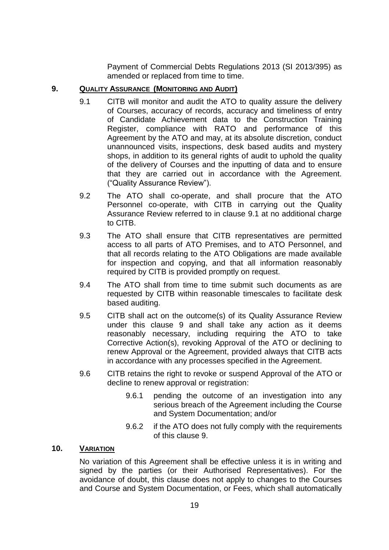Payment of Commercial Debts Regulations 2013 (SI 2013/395) as amended or replaced from time to time.

## <span id="page-20-2"></span><span id="page-20-0"></span>**9. QUALITY ASSURANCE (MONITORING AND AUDIT)**

- 9.1 CITB will monitor and audit the ATO to quality assure the delivery of Courses, accuracy of records, accuracy and timeliness of entry of Candidate Achievement data to the Construction Training Register, compliance with RATO and performance of this Agreement by the ATO and may, at its absolute discretion, conduct unannounced visits, inspections, desk based audits and mystery shops, in addition to its general rights of audit to uphold the quality of the delivery of Courses and the inputting of data and to ensure that they are carried out in accordance with the Agreement. ("Quality Assurance Review").
- 9.2 The ATO shall co-operate, and shall procure that the ATO Personnel co-operate, with CITB in carrying out the Quality Assurance Review referred to in clause [9.1](#page-20-2) at no additional charge to CITB.
- 9.3 The ATO shall ensure that CITB representatives are permitted access to all parts of ATO Premises, and to ATO Personnel, and that all records relating to the ATO Obligations are made available for inspection and copying, and that all information reasonably required by CITB is provided promptly on request.
- 9.4 The ATO shall from time to time submit such documents as are requested by CITB within reasonable timescales to facilitate desk based auditing.
- 9.5 CITB shall act on the outcome(s) of its Quality Assurance Review under this clause [9](#page-20-0) and shall take any action as it deems reasonably necessary, including requiring the ATO to take Corrective Action(s), revoking Approval of the ATO or declining to renew Approval or the Agreement, provided always that CITB acts in accordance with any processes specified in the Agreement.
- 9.6 CITB retains the right to revoke or suspend Approval of the ATO or decline to renew approval or registration:
	- 9.6.1 pending the outcome of an investigation into any serious breach of the Agreement including the Course and System Documentation; and/or
	- 9.6.2 if the ATO does not fully comply with the requirements of this clause [9.](#page-20-0)

## <span id="page-20-1"></span>**10. VARIATION**

No variation of this Agreement shall be effective unless it is in writing and signed by the parties (or their Authorised Representatives). For the avoidance of doubt, this clause does not apply to changes to the Courses and Course and System Documentation, or Fees, which shall automatically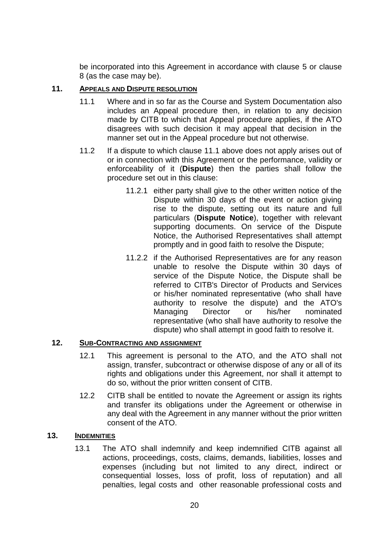be incorporated into this Agreement in accordance with clause [5](#page-16-0) or clause [8](#page-19-0) (as the case may be).

## <span id="page-21-3"></span><span id="page-21-0"></span>**11. APPEALS AND DISPUTE RESOLUTION**

- 11.1 Where and in so far as the Course and System Documentation also includes an Appeal procedure then, in relation to any decision made by CITB to which that Appeal procedure applies, if the ATO disagrees with such decision it may appeal that decision in the manner set out in the Appeal procedure but not otherwise.
- 11.2 If a dispute to which clause [11.1](#page-21-3) above does not apply arises out of or in connection with this Agreement or the performance, validity or enforceability of it (**Dispute**) then the parties shall follow the procedure set out in this clause:
	- 11.2.1 either party shall give to the other written notice of the Dispute within 30 days of the event or action giving rise to the dispute, setting out its nature and full particulars (**Dispute Notice**), together with relevant supporting documents. On service of the Dispute Notice, the Authorised Representatives shall attempt promptly and in good faith to resolve the Dispute;
	- 11.2.2 if the Authorised Representatives are for any reason unable to resolve the Dispute within 30 days of service of the Dispute Notice, the Dispute shall be referred to CITB's Director of Products and Services or his/her nominated representative (who shall have authority to resolve the dispute) and the ATO's Managing Director or his/her nominated representative (who shall have authority to resolve the dispute) who shall attempt in good faith to resolve it.

## <span id="page-21-1"></span>**12. SUB-CONTRACTING AND ASSIGNMENT**

- 12.1 This agreement is personal to the ATO, and the ATO shall not assign, transfer, subcontract or otherwise dispose of any or all of its rights and obligations under this Agreement, nor shall it attempt to do so, without the prior written consent of CITB.
- 12.2 CITB shall be entitled to novate the Agreement or assign its rights and transfer its obligations under the Agreement or otherwise in any deal with the Agreement in any manner without the prior written consent of the ATO.

## <span id="page-21-4"></span><span id="page-21-2"></span>**13. INDEMNITIES**

13.1 The ATO shall indemnify and keep indemnified CITB against all actions, proceedings, costs, claims, demands, liabilities, losses and expenses (including but not limited to any direct, indirect or consequential losses, loss of profit, loss of reputation) and all penalties, legal costs and other reasonable professional costs and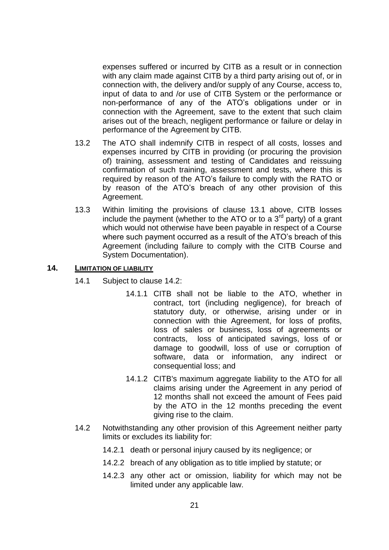expenses suffered or incurred by CITB as a result or in connection with any claim made against CITB by a third party arising out of, or in connection with, the delivery and/or supply of any Course, access to, input of data to and /or use of CITB System or the performance or non-performance of any of the ATO's obligations under or in connection with the Agreement, save to the extent that such claim arises out of the breach, negligent performance or failure or delay in performance of the Agreement by CITB.

- 13.2 The ATO shall indemnify CITB in respect of all costs, losses and expenses incurred by CITB in providing (or procuring the provision of) training, assessment and testing of Candidates and reissuing confirmation of such training, assessment and tests, where this is required by reason of the ATO's failure to comply with the RATO or by reason of the ATO's breach of any other provision of this Agreement.
- 13.3 Within limiting the provisions of clause [13.1](#page-21-4) above, CITB losses include the payment (whether to the ATO or to a  $3<sup>rd</sup>$  party) of a grant which would not otherwise have been payable in respect of a Course where such payment occurred as a result of the ATO's breach of this Agreement (including failure to comply with the CITB Course and System Documentation).

#### <span id="page-22-0"></span>**14. LIMITATION OF LIABILITY**

- 14.1 Subject to clause 14.2:
	- 14.1.1 CITB shall not be liable to the ATO, whether in contract, tort (including negligence), for breach of statutory duty, or otherwise, arising under or in connection with thie Agreement, for loss of profits, loss of sales or business, loss of agreements or contracts, loss of anticipated savings, loss of or damage to goodwill, loss of use or corruption of software, data or information, any indirect or consequential loss; and
	- 14.1.2 CITB's maximum aggregate liability to the ATO for all claims arising under the Agreement in any period of 12 months shall not exceed the amount of Fees paid by the ATO in the 12 months preceding the event giving rise to the claim.
- 14.2 Notwithstanding any other provision of this Agreement neither party limits or excludes its liability for:
	- 14.2.1 death or personal injury caused by its negligence; or
	- 14.2.2 breach of any obligation as to title implied by statute; or
	- 14.2.3 any other act or omission, liability for which may not be limited under any applicable law.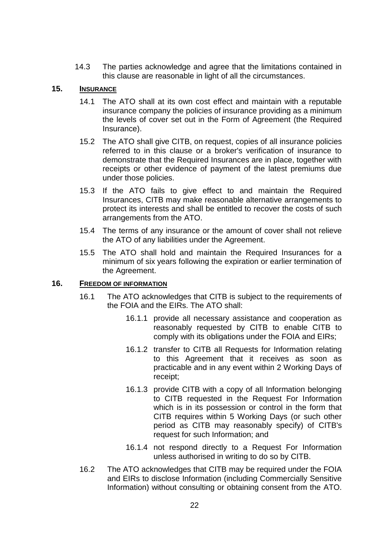14.3 The parties acknowledge and agree that the limitations contained in this clause are reasonable in light of all the circumstances.

## <span id="page-23-0"></span>**15. INSURANCE**

- 14.1 The ATO shall at its own cost effect and maintain with a reputable insurance company the policies of insurance providing as a minimum the levels of cover set out in the Form of Agreement (the Required Insurance).
- 15.2 The ATO shall give CITB, on request, copies of all insurance policies referred to in this clause or a broker's verification of insurance to demonstrate that the Required Insurances are in place, together with receipts or other evidence of payment of the latest premiums due under those policies.
- 15.3 If the ATO fails to give effect to and maintain the Required Insurances, CITB may make reasonable alternative arrangements to protect its interests and shall be entitled to recover the costs of such arrangements from the ATO.
- 15.4 The terms of any insurance or the amount of cover shall not relieve the ATO of any liabilities under the Agreement.
- 15.5 The ATO shall hold and maintain the Required Insurances for a minimum of six years following the expiration or earlier termination of the Agreement.

#### <span id="page-23-1"></span>**16. FREEDOM OF INFORMATION**

- 16.1 The ATO acknowledges that CITB is subject to the requirements of the FOIA and the EIRs. The ATO shall:
	- 16.1.1 provide all necessary assistance and cooperation as reasonably requested by CITB to enable CITB to comply with its obligations under the FOIA and EIRs;
	- 16.1.2 transfer to CITB all Requests for Information relating to this Agreement that it receives as soon as practicable and in any event within 2 Working Days of receipt;
	- 16.1.3 provide CITB with a copy of all Information belonging to CITB requested in the Request For Information which is in its possession or control in the form that CITB requires within 5 Working Days (or such other period as CITB may reasonably specify) of CITB's request for such Information; and
	- 16.1.4 not respond directly to a Request For Information unless authorised in writing to do so by CITB.
- <span id="page-23-2"></span>16.2 The ATO acknowledges that CITB may be required under the FOIA and EIRs to disclose Information (including Commercially Sensitive Information) without consulting or obtaining consent from the ATO.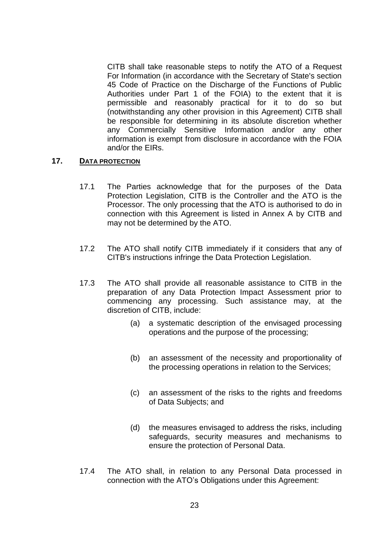CITB shall take reasonable steps to notify the ATO of a Request For Information (in accordance with the Secretary of State's section 45 Code of Practice on the Discharge of the Functions of Public Authorities under Part 1 of the FOIA) to the extent that it is permissible and reasonably practical for it to do so but (notwithstanding any other provision in this Agreement) CITB shall be responsible for determining in its absolute discretion whether any Commercially Sensitive Information and/or any other information is exempt from disclosure in accordance with the FOIA and/or the EIRs.

#### <span id="page-24-0"></span>**17. DATA PROTECTION**

- 17.1 The Parties acknowledge that for the purposes of the Data Protection Legislation, CITB is the Controller and the ATO is the Processor. The only processing that the ATO is authorised to do in connection with this Agreement is listed in Annex A by CITB and may not be determined by the ATO.
- 17.2 The ATO shall notify CITB immediately if it considers that any of CITB's instructions infringe the Data Protection Legislation.
- 17.3 The ATO shall provide all reasonable assistance to CITB in the preparation of any Data Protection Impact Assessment prior to commencing any processing. Such assistance may, at the discretion of CITB, include:
	- (a) a systematic description of the envisaged processing operations and the purpose of the processing;
	- (b) an assessment of the necessity and proportionality of the processing operations in relation to the Services;
	- (c) an assessment of the risks to the rights and freedoms of Data Subjects; and
	- (d) the measures envisaged to address the risks, including safeguards, security measures and mechanisms to ensure the protection of Personal Data.
- 17.4 The ATO shall, in relation to any Personal Data processed in connection with the ATO's Obligations under this Agreement: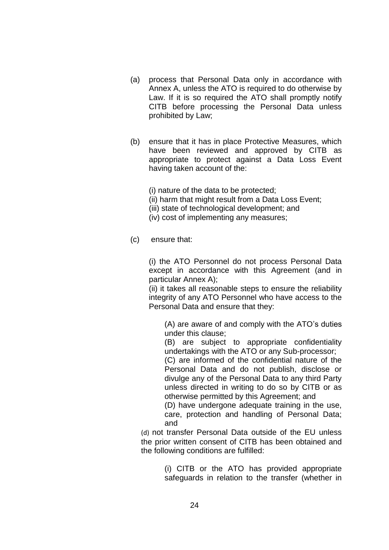- (a) process that Personal Data only in accordance with Annex A, unless the ATO is required to do otherwise by Law. If it is so required the ATO shall promptly notify CITB before processing the Personal Data unless prohibited by Law;
- (b) ensure that it has in place Protective Measures, which have been reviewed and approved by CITB as appropriate to protect against a Data Loss Event having taken account of the:

(i) nature of the data to be protected;

- (ii) harm that might result from a Data Loss Event;
- (iii) state of technological development; and
- (iv) cost of implementing any measures;
- (c) ensure that:

(i) the ATO Personnel do not process Personal Data except in accordance with this Agreement (and in particular Annex A);

(ii) it takes all reasonable steps to ensure the reliability integrity of any ATO Personnel who have access to the Personal Data and ensure that they:

(A) are aware of and comply with the ATO's duties under this clause;

(B) are subject to appropriate confidentiality undertakings with the ATO or any Sub-processor;

(C) are informed of the confidential nature of the Personal Data and do not publish, disclose or divulge any of the Personal Data to any third Party unless directed in writing to do so by CITB or as otherwise permitted by this Agreement; and

(D) have undergone adequate training in the use, care, protection and handling of Personal Data; and

(d) not transfer Personal Data outside of the EU unless the prior written consent of CITB has been obtained and the following conditions are fulfilled:

> (i) CITB or the ATO has provided appropriate safeguards in relation to the transfer (whether in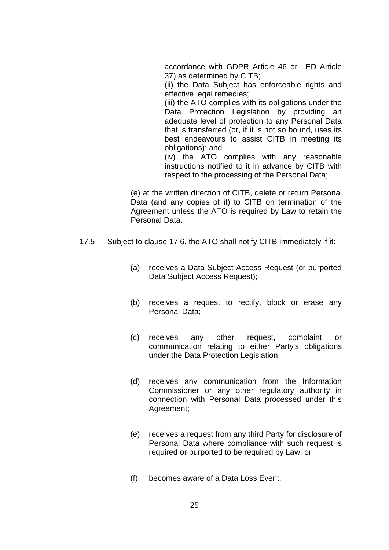accordance with GDPR Article 46 or LED Article 37) as determined by CITB;

(ii) the Data Subject has enforceable rights and effective legal remedies;

(iii) the ATO complies with its obligations under the Data Protection Legislation by providing an adequate level of protection to any Personal Data that is transferred (or, if it is not so bound, uses its best endeavours to assist CITB in meeting its obligations); and

(iv) the ATO complies with any reasonable instructions notified to it in advance by CITB with respect to the processing of the Personal Data;

(e) at the written direction of CITB, delete or return Personal Data (and any copies of it) to CITB on termination of the Agreement unless the ATO is required by Law to retain the Personal Data.

- 17.5 Subject to clause 17.6, the ATO shall notify CITB immediately if it:
	- (a) receives a Data Subject Access Request (or purported Data Subject Access Request);
	- (b) receives a request to rectify, block or erase any Personal Data;
	- (c) receives any other request, complaint or communication relating to either Party's obligations under the Data Protection Legislation;
	- (d) receives any communication from the Information Commissioner or any other regulatory authority in connection with Personal Data processed under this Agreement;
	- (e) receives a request from any third Party for disclosure of Personal Data where compliance with such request is required or purported to be required by Law; or
	- (f) becomes aware of a Data Loss Event.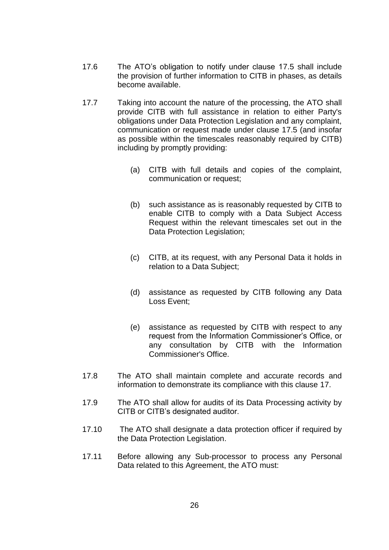- 17.6 The ATO's obligation to notify under clause 17.5 shall include the provision of further information to CITB in phases, as details become available.
- 17.7 Taking into account the nature of the processing, the ATO shall provide CITB with full assistance in relation to either Party's obligations under Data Protection Legislation and any complaint, communication or request made under clause 17.5 (and insofar as possible within the timescales reasonably required by CITB) including by promptly providing:
	- (a) CITB with full details and copies of the complaint, communication or request;
	- (b) such assistance as is reasonably requested by CITB to enable CITB to comply with a Data Subject Access Request within the relevant timescales set out in the Data Protection Legislation;
	- (c) CITB, at its request, with any Personal Data it holds in relation to a Data Subject;
	- (d) assistance as requested by CITB following any Data Loss Event;
	- (e) assistance as requested by CITB with respect to any request from the Information Commissioner's Office, or any consultation by CITB with the Information Commissioner's Office.
- 17.8 The ATO shall maintain complete and accurate records and information to demonstrate its compliance with this clause 17.
- 17.9 The ATO shall allow for audits of its Data Processing activity by CITB or CITB's designated auditor.
- 17.10 The ATO shall designate a data protection officer if required by the Data Protection Legislation.
- 17.11 Before allowing any Sub-processor to process any Personal Data related to this Agreement, the ATO must: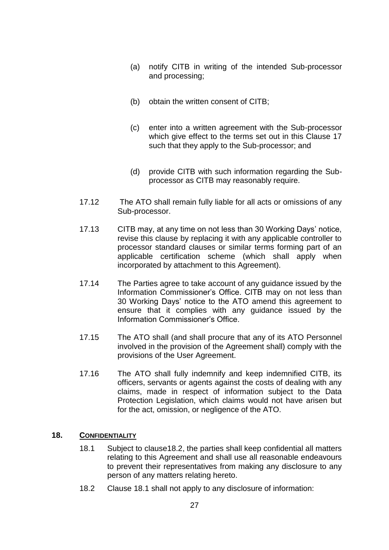- (a) notify CITB in writing of the intended Sub-processor and processing;
- (b) obtain the written consent of CITB;
- (c) enter into a written agreement with the Sub-processor which give effect to the terms set out in this Clause 17 such that they apply to the Sub-processor; and
- (d) provide CITB with such information regarding the Subprocessor as CITB may reasonably require.
- 17.12 The ATO shall remain fully liable for all acts or omissions of any Sub-processor.
- 17.13 CITB may, at any time on not less than 30 Working Days' notice, revise this clause by replacing it with any applicable controller to processor standard clauses or similar terms forming part of an applicable certification scheme (which shall apply when incorporated by attachment to this Agreement).
- 17.14 The Parties agree to take account of any guidance issued by the Information Commissioner's Office. CITB may on not less than 30 Working Days' notice to the ATO amend this agreement to ensure that it complies with any guidance issued by the Information Commissioner's Office.
- 17.15 The ATO shall (and shall procure that any of its ATO Personnel involved in the provision of the Agreement shall) comply with the provisions of the User Agreement.
- 17.16 The ATO shall fully indemnify and keep indemnified CITB, its officers, servants or agents against the costs of dealing with any claims, made in respect of information subject to the Data Protection Legislation, which claims would not have arisen but for the act, omission, or negligence of the ATO.

## <span id="page-28-2"></span><span id="page-28-0"></span>**18. CONFIDENTIALITY**

- 18.1 Subject to claus[e18.2,](#page-28-1) the parties shall keep confidential all matters relating to this Agreement and shall use all reasonable endeavours to prevent their representatives from making any disclosure to any person of any matters relating hereto.
- <span id="page-28-1"></span>18.2 Clause [18.1](#page-28-2) shall not apply to any disclosure of information: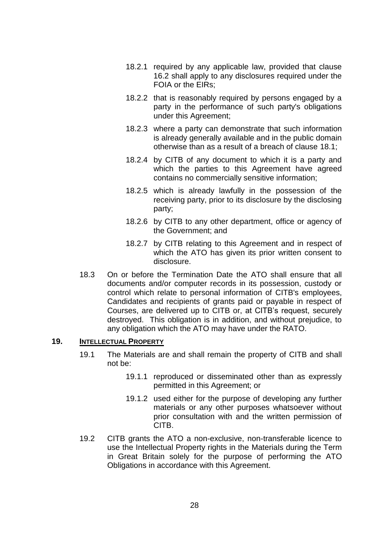- 18.2.1 required by any applicable law, provided that clause [16.2](#page-23-2) shall apply to any disclosures required under the FOIA or the EIRs;
- 18.2.2 that is reasonably required by persons engaged by a party in the performance of such party's obligations under this Agreement;
- 18.2.3 where a party can demonstrate that such information is already generally available and in the public domain otherwise than as a result of a breach of clause [18.1;](#page-28-2)
- 18.2.4 by CITB of any document to which it is a party and which the parties to this Agreement have agreed contains no commercially sensitive information;
- 18.2.5 which is already lawfully in the possession of the receiving party, prior to its disclosure by the disclosing party;
- 18.2.6 by CITB to any other department, office or agency of the Government; and
- 18.2.7 by CITB relating to this Agreement and in respect of which the ATO has given its prior written consent to disclosure.
- 18.3 On or before the Termination Date the ATO shall ensure that all documents and/or computer records in its possession, custody or control which relate to personal information of CITB's employees, Candidates and recipients of grants paid or payable in respect of Courses, are delivered up to CITB or, at CITB's request, securely destroyed. This obligation is in addition, and without prejudice, to any obligation which the ATO may have under the RATO.

## <span id="page-29-0"></span>**19. INTELLECTUAL PROPERTY**

- 19.1 The Materials are and shall remain the property of CITB and shall not be:
	- 19.1.1 reproduced or disseminated other than as expressly permitted in this Agreement; or
	- 19.1.2 used either for the purpose of developing any further materials or any other purposes whatsoever without prior consultation with and the written permission of CITB.
- 19.2 CITB grants the ATO a non-exclusive, non-transferable licence to use the Intellectual Property rights in the Materials during the Term in Great Britain solely for the purpose of performing the ATO Obligations in accordance with this Agreement.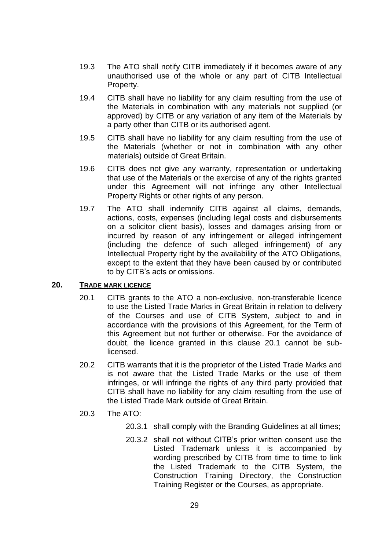- 19.3 The ATO shall notify CITB immediately if it becomes aware of any unauthorised use of the whole or any part of CITB Intellectual Property.
- 19.4 CITB shall have no liability for any claim resulting from the use of the Materials in combination with any materials not supplied (or approved) by CITB or any variation of any item of the Materials by a party other than CITB or its authorised agent.
- 19.5 CITB shall have no liability for any claim resulting from the use of the Materials (whether or not in combination with any other materials) outside of Great Britain.
- 19.6 CITB does not give any warranty, representation or undertaking that use of the Materials or the exercise of any of the rights granted under this Agreement will not infringe any other Intellectual Property Rights or other rights of any person.
- 19.7 The ATO shall indemnify CITB against all claims, demands, actions, costs, expenses (including legal costs and disbursements on a solicitor client basis), losses and damages arising from or incurred by reason of any infringement or alleged infringement (including the defence of such alleged infringement) of any Intellectual Property right by the availability of the ATO Obligations, except to the extent that they have been caused by or contributed to by CITB's acts or omissions.

## <span id="page-30-0"></span>**20. TRADE MARK LICENCE**

- 20.1 CITB grants to the ATO a non-exclusive, non-transferable licence to use the Listed Trade Marks in Great Britain in relation to delivery of the Courses and use of CITB System*, s*ubject to and in accordance with the provisions of this Agreement, for the Term of this Agreement but not further or otherwise. For the avoidance of doubt, the licence granted in this clause 20.1 cannot be sublicensed.
- 20.2 CITB warrants that it is the proprietor of the Listed Trade Marks and is not aware that the Listed Trade Marks or the use of them infringes, or will infringe the rights of any third party provided that CITB shall have no liability for any claim resulting from the use of the Listed Trade Mark outside of Great Britain.

## 20.3 The ATO:

- 20.3.1 shall comply with the Branding Guidelines at all times;
- 20.3.2 shall not without CITB's prior written consent use the Listed Trademark unless it is accompanied by wording prescribed by CITB from time to time to link the Listed Trademark to the CITB System, the Construction Training Directory, the Construction Training Register or the Courses, as appropriate.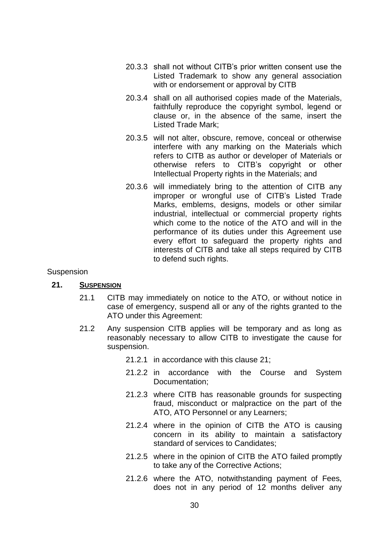- 20.3.3 shall not without CITB's prior written consent use the Listed Trademark to show any general association with or endorsement or approval by CITB
- 20.3.4 shall on all authorised copies made of the Materials, faithfully reproduce the copyright symbol, legend or clause or, in the absence of the same, insert the Listed Trade Mark;
- 20.3.5 will not alter, obscure, remove, conceal or otherwise interfere with any marking on the Materials which refers to CITB as author or developer of Materials or otherwise refers to CITB's copyright or other Intellectual Property rights in the Materials; and
- 20.3.6 will immediately bring to the attention of CITB any improper or wrongful use of CITB's Listed Trade Marks, emblems, designs, models or other similar industrial, intellectual or commercial property rights which come to the notice of the ATO and will in the performance of its duties under this Agreement use every effort to safeguard the property rights and interests of CITB and take all steps required by CITB to defend such rights.

## Suspension

#### <span id="page-31-0"></span>**21. SUSPENSION**

- 21.1 CITB may immediately on notice to the ATO, or without notice in case of emergency, suspend all or any of the rights granted to the ATO under this Agreement:
- 21.2 Any suspension CITB applies will be temporary and as long as reasonably necessary to allow CITB to investigate the cause for suspension.
	- 21.2.1 in accordance with this clause [21;](#page-31-0)
	- 21.2.2 in accordance with the Course and System Documentation;
	- 21.2.3 where CITB has reasonable grounds for suspecting fraud, misconduct or malpractice on the part of the ATO, ATO Personnel or any Learners;
	- 21.2.4 where in the opinion of CITB the ATO is causing concern in its ability to maintain a satisfactory standard of services to Candidates;
	- 21.2.5 where in the opinion of CITB the ATO failed promptly to take any of the Corrective Actions;
	- 21.2.6 where the ATO, notwithstanding payment of Fees, does not in any period of 12 months deliver any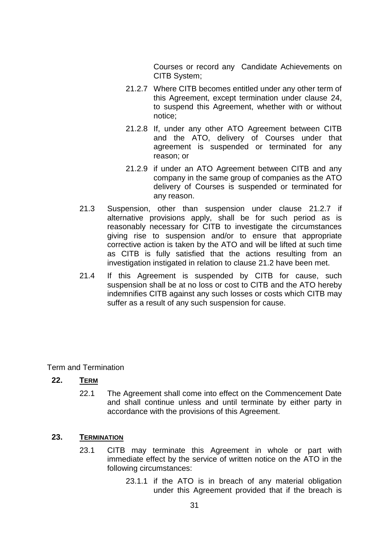Courses or record any Candidate Achievements on CITB System;

- <span id="page-32-2"></span>21.2.7 Where CITB becomes entitled under any other term of this Agreement, except termination under clause [24,](#page-34-0) to suspend this Agreement, whether with or without notice;
- 21.2.8 If, under any other ATO Agreement between CITB and the ATO, delivery of Courses under that agreement is suspended or terminated for any reason; or
- 21.2.9 if under an ATO Agreement between CITB and any company in the same group of companies as the ATO delivery of Courses is suspended or terminated for any reason.
- 21.3 Suspension, other than suspension under clause [21.2.7](#page-32-2) if alternative provisions apply, shall be for such period as is reasonably necessary for CITB to investigate the circumstances giving rise to suspension and/or to ensure that appropriate corrective action is taken by the ATO and will be lifted at such time as CITB is fully satisfied that the actions resulting from an investigation instigated in relation to clause 21.2 have been met.
- 21.4 If this Agreement is suspended by CITB for cause, such suspension shall be at no loss or cost to CITB and the ATO hereby indemnifies CITB against any such losses or costs which CITB may suffer as a result of any such suspension for cause.

Term and Termination

## <span id="page-32-0"></span>**22. TERM**

22.1 The Agreement shall come into effect on the Commencement Date and shall continue unless and until terminate by either party in accordance with the provisions of this Agreement.

## <span id="page-32-3"></span><span id="page-32-1"></span>**23. TERMINATION**

- 23.1 CITB may terminate this Agreement in whole or part with immediate effect by the service of written notice on the ATO in the following circumstances:
	- 23.1.1 if the ATO is in breach of any material obligation under this Agreement provided that if the breach is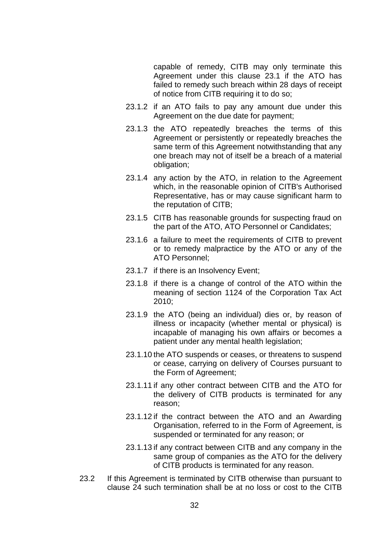capable of remedy, CITB may only terminate this Agreement under this clause [23.1](#page-32-3) if the ATO has failed to remedy such breach within 28 days of receipt of notice from CITB requiring it to do so;

- 23.1.2 if an ATO fails to pay any amount due under this Agreement on the due date for payment;
- 23.1.3 the ATO repeatedly breaches the terms of this Agreement or persistently or repeatedly breaches the same term of this Agreement notwithstanding that any one breach may not of itself be a breach of a material obligation;
- 23.1.4 any action by the ATO, in relation to the Agreement which, in the reasonable opinion of CITB's Authorised Representative, has or may cause significant harm to the reputation of CITB;
- 23.1.5 CITB has reasonable grounds for suspecting fraud on the part of the ATO, ATO Personnel or Candidates;
- 23.1.6 a failure to meet the requirements of CITB to prevent or to remedy malpractice by the ATO or any of the ATO Personnel;
- 23.1.7 if there is an Insolvency Event;
- 23.1.8 if there is a change of control of the ATO within the meaning of section 1124 of the Corporation Tax Act 2010;
- 23.1.9 the ATO (being an individual) dies or, by reason of illness or incapacity (whether mental or physical) is incapable of managing his own affairs or becomes a patient under any mental health legislation;
- 23.1.10 the ATO suspends or ceases, or threatens to suspend or cease, carrying on delivery of Courses pursuant to the Form of Agreement;
- 23.1.11 if any other contract between CITB and the ATO for the delivery of CITB products is terminated for any reason;
- 23.1.12 if the contract between the ATO and an Awarding Organisation, referred to in the Form of Agreement, is suspended or terminated for any reason; or
- 23.1.13 if any contract between CITB and any company in the same group of companies as the ATO for the delivery of CITB products is terminated for any reason.
- 23.2 If this Agreement is terminated by CITB otherwise than pursuant to clause [24](#page-34-0) such termination shall be at no loss or cost to the CITB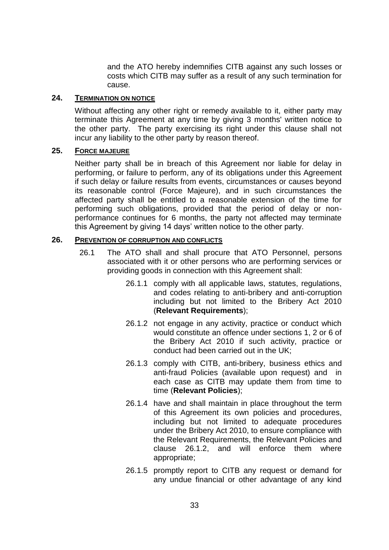and the ATO hereby indemnifies CITB against any such losses or costs which CITB may suffer as a result of any such termination for cause.

## <span id="page-34-0"></span>**24. TERMINATION ON NOTICE**

Without affecting any other right or remedy available to it, either party may terminate this Agreement at any time by giving 3 months' written notice to the other party. The party exercising its right under this clause shall not incur any liability to the other party by reason thereof.

## <span id="page-34-1"></span>**25. FORCE MAJEURE**

Neither party shall be in breach of this Agreement nor liable for delay in performing, or failure to perform, any of its obligations under this Agreement if such delay or failure results from events, circumstances or causes beyond its reasonable control (Force Majeure), and in such circumstances the affected party shall be entitled to a reasonable extension of the time for performing such obligations, provided that the period of delay or nonperformance continues for 6 months, the party not affected may terminate this Agreement by giving 14 days' written notice to the other party.

## <span id="page-34-2"></span>**26. PREVENTION OF CORRUPTION AND CONFLICTS**

- <span id="page-34-3"></span>26.1 The ATO shall and shall procure that ATO Personnel, persons associated with it or other persons who are performing services or providing goods in connection with this Agreement shall:
	- 26.1.1 comply with all applicable laws, statutes, regulations, and codes relating to anti-bribery and anti-corruption including but not limited to the Bribery Act 2010 (**Relevant Requirements**);
	- 26.1.2 not engage in any activity, practice or conduct which would constitute an offence under sections 1, 2 or 6 of the Bribery Act 2010 if such activity, practice or conduct had been carried out in the UK;
	- 26.1.3 comply with CITB, anti-bribery, business ethics and anti-fraud Policies (available upon request) and in each case as CITB may update them from time to time (**Relevant Policies**);
	- 26.1.4 have and shall maintain in place throughout the term of this Agreement its own policies and procedures, including but not limited to adequate procedures under the Bribery Act 2010, to ensure compliance with the Relevant Requirements, the Relevant Policies and clause [26.1.2,](#page-34-3) and will enforce them where appropriate;
	- 26.1.5 promptly report to CITB any request or demand for any undue financial or other advantage of any kind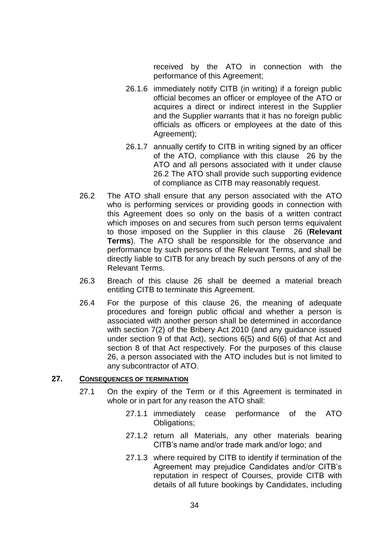received by the ATO in connection with the performance of this Agreement;

- 26.1.6 immediately notify CITB (in writing) if a foreign public official becomes an officer or employee of the ATO or acquires a direct or indirect interest in the Supplier and the Supplier warrants that it has no foreign public officials as officers or employees at the date of this Agreement);
- 26.1.7 annually certify to CITB in writing signed by an officer of the ATO, compliance with this clause 26 by the ATO and all persons associated with it under clause 26.2 The ATO shall provide such supporting evidence of compliance as CITB may reasonably request.
- 26.2 The ATO shall ensure that any person associated with the ATO who is performing services or providing goods in connection with this Agreement does so only on the basis of a written contract which imposes on and secures from such person terms equivalent to those imposed on the Supplier in this clause 26 (**Relevant Terms**). The ATO shall be responsible for the observance and performance by such persons of the Relevant Terms, and shall be directly liable to CITB for any breach by such persons of any of the Relevant Terms.
- 26.3 Breach of this clause 26 shall be deemed a material breach entitling CITB to terminate this Agreement.
- 26.4 For the purpose of this clause 26, the meaning of adequate procedures and foreign public official and whether a person is associated with another person shall be determined in accordance with section 7(2) of the Bribery Act 2010 (and any guidance issued under section 9 of that Act), sections 6(5) and 6(6) of that Act and section 8 of that Act respectively. For the purposes of this clause 26, a person associated with the ATO includes but is not limited to any subcontractor of ATO.

#### <span id="page-35-0"></span>**27. CONSEQUENCES OF TERMINATION**

- 27.1 On the expiry of the Term or if this Agreement is terminated in whole or in part for any reason the ATO shall:
	- 27.1.1 immediately cease performance of the ATO Obligations;
	- 27.1.2 return all Materials, any other materials bearing CITB's name and/or trade mark and/or logo; and
	- 27.1.3 where required by CITB to identify if termination of the Agreement may prejudice Candidates and/or CITB's reputation in respect of Courses, provide CITB with details of all future bookings by Candidates, including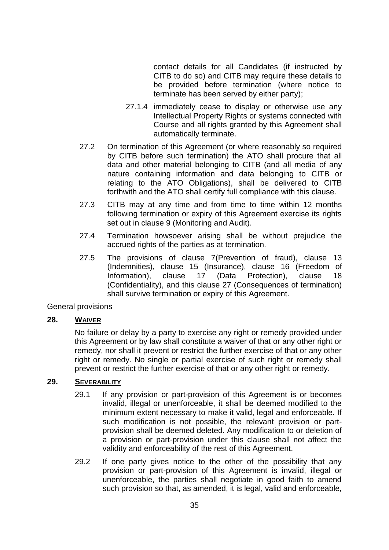contact details for all Candidates (if instructed by CITB to do so) and CITB may require these details to be provided before termination (where notice to terminate has been served by either party);

- 27.1.4 immediately cease to display or otherwise use any Intellectual Property Rights or systems connected with Course and all rights granted by this Agreement shall automatically terminate.
- 27.2 On termination of this Agreement (or where reasonably so required by CITB before such termination) the ATO shall procure that all data and other material belonging to CITB (and all media of any nature containing information and data belonging to CITB or relating to the ATO Obligations), shall be delivered to CITB forthwith and the ATO shall certify full compliance with this clause.
- 27.3 CITB may at any time and from time to time within 12 months following termination or expiry of this Agreement exercise its rights set out in clause [9](#page-20-0) (Monitoring and Audit).
- 27.4 Termination howsoever arising shall be without prejudice the accrued rights of the parties as at termination.
- 27.5 The provisions of clause [7\(](#page-18-0)Prevention of fraud), clause [13](#page-21-2) (Indemnities), clause [15](#page-23-0) (Insurance), clause [16](#page-23-1) (Freedom of Information), clause [17](#page-24-0) (Data Protection), clause [18](#page-28-0) (Confidentiality), and this clause [27](#page-35-0) (Consequences of termination) shall survive termination or expiry of this Agreement.

General provisions

## <span id="page-36-0"></span>**28. WAIVER**

No failure or delay by a party to exercise any right or remedy provided under this Agreement or by law shall constitute a waiver of that or any other right or remedy, nor shall it prevent or restrict the further exercise of that or any other right or remedy. No single or partial exercise of such right or remedy shall prevent or restrict the further exercise of that or any other right or remedy.

#### <span id="page-36-1"></span>**29. SEVERABILITY**

- 29.1 If any provision or part-provision of this Agreement is or becomes invalid, illegal or unenforceable, it shall be deemed modified to the minimum extent necessary to make it valid, legal and enforceable. If such modification is not possible, the relevant provision or partprovision shall be deemed deleted. Any modification to or deletion of a provision or part-provision under this clause shall not affect the validity and enforceability of the rest of this Agreement.
- 29.2 If one party gives notice to the other of the possibility that any provision or part-provision of this Agreement is invalid, illegal or unenforceable, the parties shall negotiate in good faith to amend such provision so that, as amended, it is legal, valid and enforceable,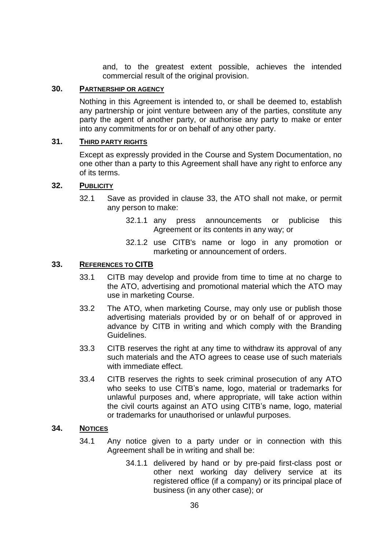and, to the greatest extent possible, achieves the intended commercial result of the original provision.

## <span id="page-37-0"></span>**30. PARTNERSHIP OR AGENCY**

Nothing in this Agreement is intended to, or shall be deemed to, establish any partnership or joint venture between any of the parties, constitute any party the agent of another party, or authorise any party to make or enter into any commitments for or on behalf of any other party.

#### <span id="page-37-1"></span>**31. THIRD PARTY RIGHTS**

Except as expressly provided in the Course and System Documentation, no one other than a party to this Agreement shall have any right to enforce any of its terms.

#### <span id="page-37-2"></span>**32. PUBLICITY**

- 32.1 Save as provided in clause 33, the ATO shall not make, or permit any person to make:
	- 32.1.1 any press announcements or publicise this Agreement or its contents in any way; or
	- 32.1.2 use CITB's name or logo in any promotion or marketing or announcement of orders.

## <span id="page-37-3"></span>**33. REFERENCES TO CITB**

- 33.1 CITB may develop and provide from time to time at no charge to the ATO, advertising and promotional material which the ATO may use in marketing Course.
- 33.2 The ATO, when marketing Course, may only use or publish those advertising materials provided by or on behalf of or approved in advance by CITB in writing and which comply with the Branding Guidelines.
- 33.3 CITB reserves the right at any time to withdraw its approval of any such materials and the ATO agrees to cease use of such materials with immediate effect.
- 33.4 CITB reserves the rights to seek criminal prosecution of any ATO who seeks to use CITB's name, logo, material or trademarks for unlawful purposes and, where appropriate, will take action within the civil courts against an ATO using CITB's name, logo, material or trademarks for unauthorised or unlawful purposes.

## <span id="page-37-4"></span>**34. NOTICES**

- 34.1 Any notice given to a party under or in connection with this Agreement shall be in writing and shall be:
	- 34.1.1 delivered by hand or by pre-paid first-class post or other next working day delivery service at its registered office (if a company) or its principal place of business (in any other case); or